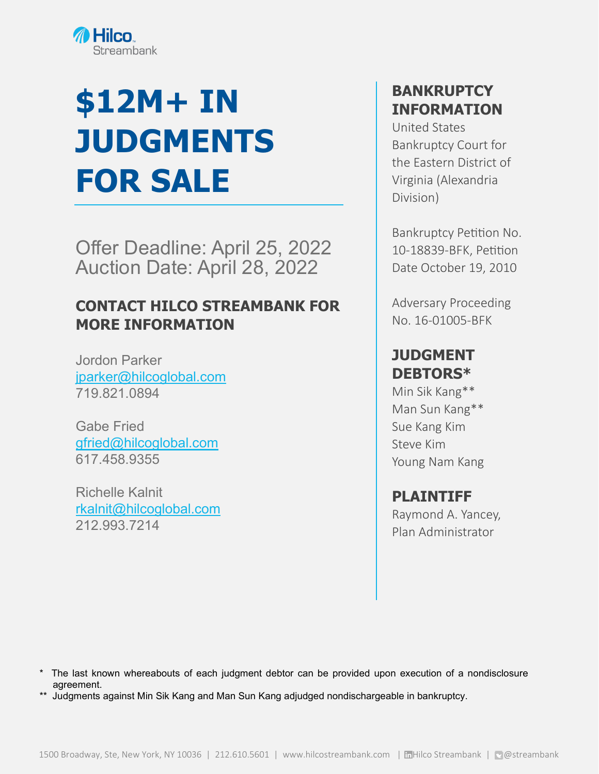

## **\$12M+ IN JUDGMENTS FOR SALE**

Offer Deadline: April 25, 2022 Auction Date: April 28, 2022

#### **CONTACT HILCO STREAMBANK FOR MORE INFORMATION**

Jordon Parker [jparker@hilcoglobal.com](mailto:jparker@hilcoglobal.com) 719.821.0894

Gabe Fried [gfried@hilcoglobal.com](mailto:gfried@hilcoglobal.com) 617.458.9355

Richelle Kalnit [rkalnit@hilcoglobal.com](mailto:rkalnit@hilcoglobal.com) 212.993.7214

#### **BANKRUPTCY INFORMATION**

United States Bankruptcy Court for the Eastern District of Virginia (Alexandria Division)

Bankruptcy Petition No. 10-18839-BFK, Petition Date October 19, 2010

Adversary Proceeding No. 16-01005-BFK

#### **JUDGMENT DEBTORS\***

Min Sik Kang\*\* Man Sun Kang\*\* Sue Kang Kim Steve Kim Young Nam Kang

#### **PLAINTIFF**

Raymond A. Yancey, Plan Administrator

- \* The last known whereabouts of each judgment debtor can be provided upon execution of a nondisclosure agreement.
- \*\* Judgments against Min Sik Kang and Man Sun Kang adjudged nondischargeable in bankruptcy.